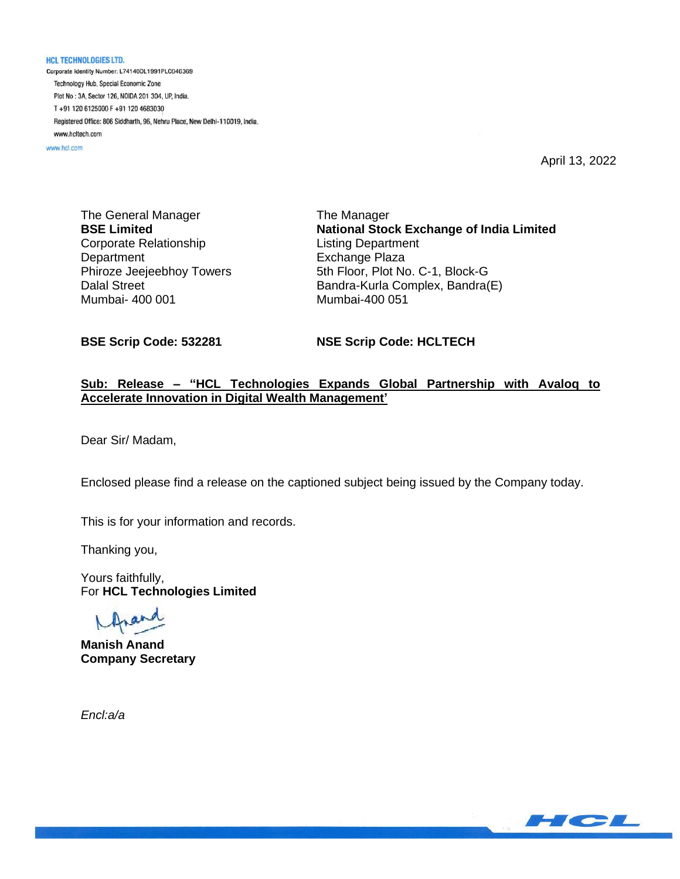**HCL TECHNOLOGIES LTD.** Corporate Identity Number: L74140DL1991PLC046369 Technology Hub, Special Economic Zone Plot No: 3A, Sector 126, NOIDA 201 304, UP, India. T+91 120 6125000 F+91 120 4683030 Registered Office: 806 Siddharth, 96, Nehru Place, New Delhi-110019, India. www.hcltech.com

www.hcl.com

April 13, 2022

The General Manager **BSE Limited** Corporate Relationship **Department** Phiroze Jeejeebhoy Towers Dalal Street Mumbai- 400 001

The Manager **National Stock Exchange of India Limited** Listing Department Exchange Plaza 5th Floor, Plot No. C-1, Block-G Bandra-Kurla Complex, Bandra(E) Mumbai-400 051

**BSE Scrip Code: 532281**

**NSE Scrip Code: HCLTECH**

## **Sub: Release – "HCL Technologies Expands Global Partnership with Avaloq to Accelerate Innovation in Digital Wealth Management'**

Dear Sir/ Madam,

Enclosed please find a release on the captioned subject being issued by the Company today.

This is for your information and records.

Thanking you,

Yours faithfully, For **HCL Technologies Limited**

**Manish Anand Company Secretary**

*Encl:a/a*

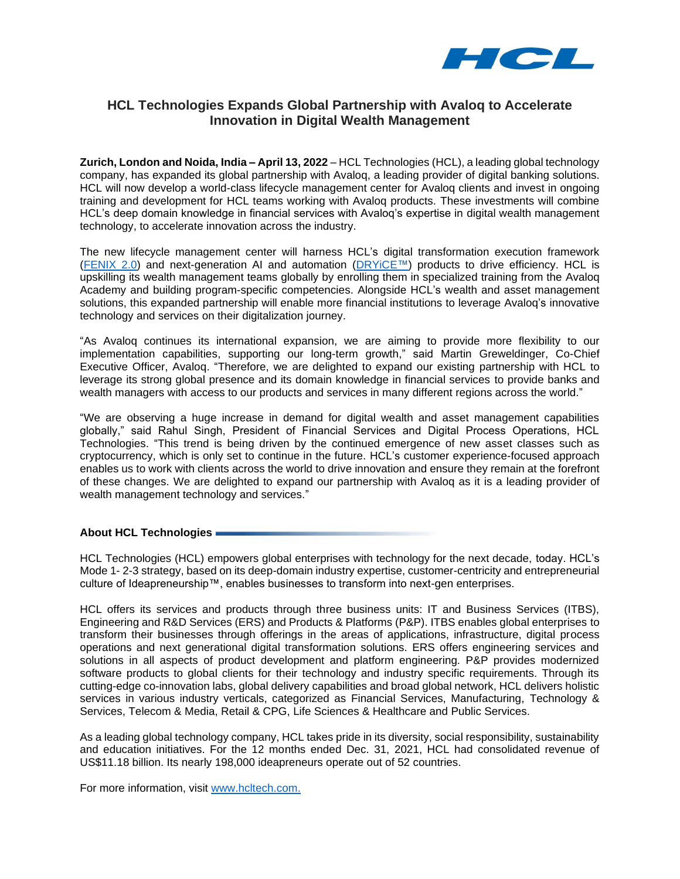

# **HCL Technologies Expands Global Partnership with Avaloq to Accelerate Innovation in Digital Wealth Management**

**Zurich, London and Noida, India – April 13, 2022** – HCL Technologies (HCL), a leading global technology company, has expanded its global partnership with Avaloq, a leading provider of digital banking solutions. HCL will now develop a world-class lifecycle management center for Avaloq clients and invest in ongoing training and development for HCL teams working with Avaloq products. These investments will combine HCL's deep domain knowledge in financial services with Avaloq's expertise in digital wealth management technology, to accelerate innovation across the industry.

The new lifecycle management center will harness HCL's digital transformation execution framework [\(FENIX 2.0\)](https://apc01.safelinks.protection.outlook.com/?url=https%3A%2F%2Fwww.hcltech.com%2Fbrochures%2Fdigital-analytics%2Fscaling-digital-across-enterprise-fenix-20&data=04%7C01%7Ckanika.vats%40hcl.com%7C1238a81b4c2342261ab908d9f20528a9%7C189de737c93a4f5a8b686f4ca9941912%7C0%7C0%7C637806926236726963%7CUnknown%7CTWFpbGZsb3d8eyJWIjoiMC4wLjAwMDAiLCJQIjoiV2luMzIiLCJBTiI6Ik1haWwiLCJXVCI6Mn0%3D%7C3000&sdata=rkJrkQf%2FbR%2BSLWR6Xs9MDJX82gT3IESDFvLCX2XimDU%3D&reserved=0) and next-generation AI and automation [\(DRYiCE™](https://apc01.safelinks.protection.outlook.com/?url=https%3A%2F%2Fwww.dryice.ai%2F&data=04%7C01%7Ckanika.vats%40hcl.com%7C1238a81b4c2342261ab908d9f20528a9%7C189de737c93a4f5a8b686f4ca9941912%7C0%7C0%7C637806926236726963%7CUnknown%7CTWFpbGZsb3d8eyJWIjoiMC4wLjAwMDAiLCJQIjoiV2luMzIiLCJBTiI6Ik1haWwiLCJXVCI6Mn0%3D%7C3000&sdata=Rh0vJmf2FuxwqUA8GKyyafVZQr23Uat6kETYCQuyV4U%3D&reserved=0)) products to drive efficiency. HCL is upskilling its wealth management teams globally by enrolling them in specialized training from the Avaloq Academy and building program-specific competencies. Alongside HCL's wealth and asset management solutions, this expanded partnership will enable more financial institutions to leverage Avaloq's innovative technology and services on their digitalization journey.

"As Avaloq continues its international expansion, we are aiming to provide more flexibility to our implementation capabilities, supporting our long-term growth," said Martin Greweldinger, Co-Chief Executive Officer, Avaloq. "Therefore, we are delighted to expand our existing partnership with HCL to leverage its strong global presence and its domain knowledge in financial services to provide banks and wealth managers with access to our products and services in many different regions across the world."

"We are observing a huge increase in demand for digital wealth and asset management capabilities globally," said Rahul Singh, President of Financial Services and Digital Process Operations, HCL Technologies. "This trend is being driven by the continued emergence of new asset classes such as cryptocurrency, which is only set to continue in the future. HCL's customer experience-focused approach enables us to work with clients across the world to drive innovation and ensure they remain at the forefront of these changes. We are delighted to expand our partnership with Avaloq as it is a leading provider of wealth management technology and services."

### **About HCL Technologies**

HCL Technologies (HCL) empowers global enterprises with technology for the next decade, today. HCL's Mode 1- 2-3 strategy, based on its deep-domain industry expertise, customer-centricity and entrepreneurial culture of Ideapreneurship™, enables businesses to transform into next-gen enterprises.

HCL offers its services and products through three business units: IT and Business Services (ITBS), Engineering and R&D Services (ERS) and Products & Platforms (P&P). ITBS enables global enterprises to transform their businesses through offerings in the areas of applications, infrastructure, digital process operations and next generational digital transformation solutions. ERS offers engineering services and solutions in all aspects of product development and platform engineering. P&P provides modernized software products to global clients for their technology and industry specific requirements. Through its cutting-edge co-innovation labs, global delivery capabilities and broad global network, HCL delivers holistic services in various industry verticals, categorized as Financial Services, Manufacturing, Technology & Services, Telecom & Media, Retail & CPG, Life Sciences & Healthcare and Public Services.

As a leading global technology company, HCL takes pride in its diversity, social responsibility, sustainability and education initiatives. For the 12 months ended Dec. 31, 2021, HCL had consolidated revenue of US\$11.18 billion. Its nearly 198,000 ideapreneurs operate out of 52 countries.

For more information, visit [www.hcltech.com.](https://apc01.safelinks.protection.outlook.com/?url=http%3A%2F%2Fwww.hcltech.com%2F&data=04%7C01%7Ckanika.vats%40hcl.com%7Cbd35b8af89e341b9000408d9dc417d8c%7C189de737c93a4f5a8b686f4ca9941912%7C0%7C0%7C637782996102001688%7CUnknown%7CTWFpbGZsb3d8eyJWIjoiMC4wLjAwMDAiLCJQIjoiV2luMzIiLCJBTiI6Ik1haWwiLCJXVCI6Mn0%3D%7C3000&sdata=2Gz9BNrvkPlGWVrnZMdpVAtvkZXzEvXaLO4G8INGq18%3D&reserved=0)